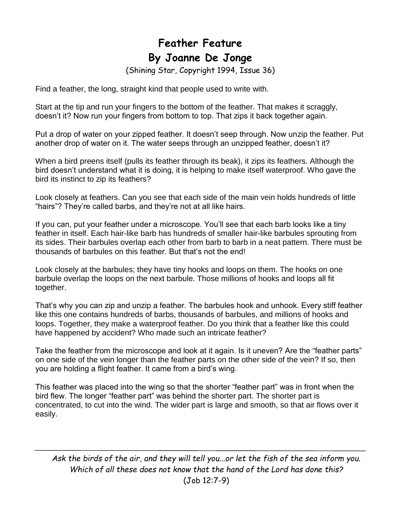## **Feather Feature By Joanne De Jonge**

(Shining Star, Copyright 1994, Issue 36)

Find a feather, the long, straight kind that people used to write with.

Start at the tip and run your fingers to the bottom of the feather. That makes it scraggly, doesn't it? Now run your fingers from bottom to top. That zips it back together again.

Put a drop of water on your zipped feather. It doesn't seep through. Now unzip the feather. Put another drop of water on it. The water seeps through an unzipped feather, doesn't it?

When a bird preens itself (pulls its feather through its beak), it zips its feathers. Although the bird doesn't understand what it is doing, it is helping to make itself waterproof. Who gave the bird its instinct to zip its feathers?

Look closely at feathers. Can you see that each side of the main vein holds hundreds of little "hairs"? They're called barbs, and they're not at all like hairs.

If you can, put your feather under a microscope. You'll see that each barb looks like a tiny feather in itself. Each hair-like barb has hundreds of smaller hair-like barbules sprouting from its sides. Their barbules overlap each other from barb to barb in a neat pattern. There must be thousands of barbules on this feather. But that's not the end!

Look closely at the barbules; they have tiny hooks and loops on them. The hooks on one barbule overlap the loops on the next barbule. Those millions of hooks and loops all fit together.

That's why you can zip and unzip a feather. The barbules hook and unhook. Every stiff feather like this one contains hundreds of barbs, thousands of barbules, and millions of hooks and loops. Together, they make a waterproof feather. Do you think that a feather like this could have happened by accident? Who made such an intricate feather?

Take the feather from the microscope and look at it again. Is it uneven? Are the "feather parts" on one side of the vein longer than the feather parts on the other side of the vein? If so, then you are holding a flight feather. It came from a bird's wing.

This feather was placed into the wing so that the shorter "feather part" was in front when the bird flew. The longer "feather part" was behind the shorter part. The shorter part is concentrated, to cut into the wind. The wider part is large and smooth, so that air flows over it easily.

*Ask the birds of the air, and they will tell you...or let the fish of the sea inform you. Which of all these does not know that the hand of the Lord has done this?*  (Job 12:7-9)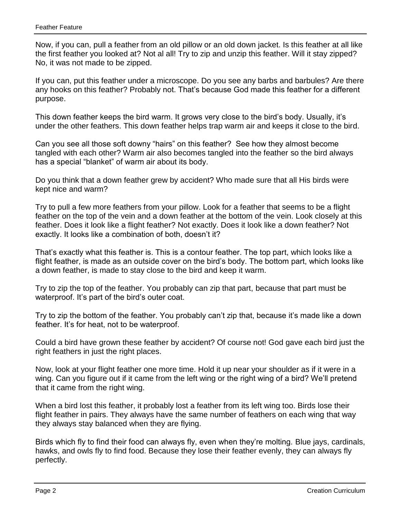Now, if you can, pull a feather from an old pillow or an old down jacket. Is this feather at all like the first feather you looked at? Not al all! Try to zip and unzip this feather. Will it stay zipped? No, it was not made to be zipped.

If you can, put this feather under a microscope. Do you see any barbs and barbules? Are there any hooks on this feather? Probably not. That's because God made this feather for a different purpose.

This down feather keeps the bird warm. It grows very close to the bird's body. Usually, it's under the other feathers. This down feather helps trap warm air and keeps it close to the bird.

Can you see all those soft downy "hairs" on this feather? See how they almost become tangled with each other? Warm air also becomes tangled into the feather so the bird always has a special "blanket" of warm air about its body.

Do you think that a down feather grew by accident? Who made sure that all His birds were kept nice and warm?

Try to pull a few more feathers from your pillow. Look for a feather that seems to be a flight feather on the top of the vein and a down feather at the bottom of the vein. Look closely at this feather. Does it look like a flight feather? Not exactly. Does it look like a down feather? Not exactly. It looks like a combination of both, doesn't it?

That's exactly what this feather is. This is a contour feather. The top part, which looks like a flight feather, is made as an outside cover on the bird's body. The bottom part, which looks like a down feather, is made to stay close to the bird and keep it warm.

Try to zip the top of the feather. You probably can zip that part, because that part must be waterproof. It's part of the bird's outer coat.

Try to zip the bottom of the feather. You probably can't zip that, because it's made like a down feather. It's for heat, not to be waterproof.

Could a bird have grown these feather by accident? Of course not! God gave each bird just the right feathers in just the right places.

Now, look at your flight feather one more time. Hold it up near your shoulder as if it were in a wing. Can you figure out if it came from the left wing or the right wing of a bird? We'll pretend that it came from the right wing.

When a bird lost this feather, it probably lost a feather from its left wing too. Birds lose their flight feather in pairs. They always have the same number of feathers on each wing that way they always stay balanced when they are flying.

Birds which fly to find their food can always fly, even when they're molting. Blue jays, cardinals, hawks, and owls fly to find food. Because they lose their feather evenly, they can always fly perfectly.